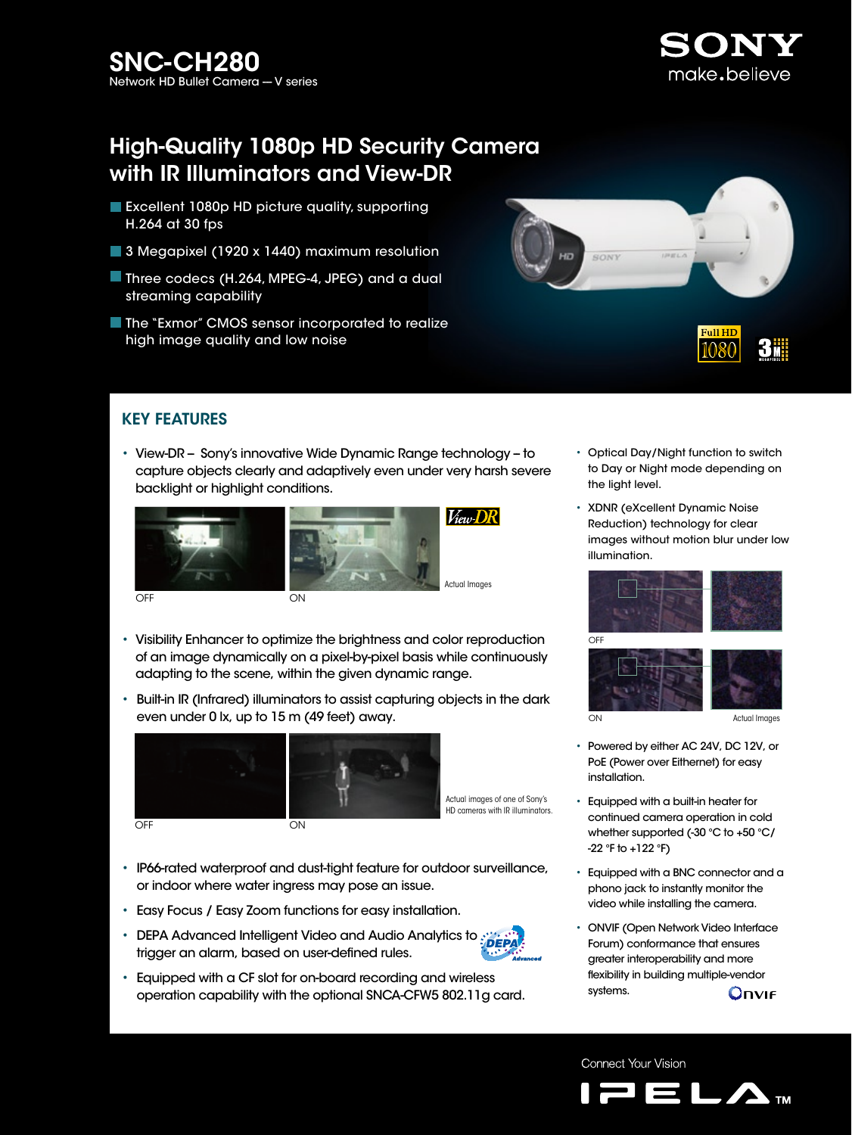

# High-Quality 1080p HD Security Camera with IR Illuminators and View-DR

- **Excellent 1080p HD picture quality, supporting** H.264 at 30 fps
- 3 Megapixel (1920 x 1440) maximum resolution
- Three codecs (H.264, MPEG-4, JPEG) and a dual streaming capability
- **The "Exmor" CMOS sensor incorporated to realize** high image quality and low noise



# KEY FEATURES

• View-DR - Sony's innovative Wide Dynamic Range technology - to capture objects clearly and adaptively even under very harsh severe backlight or highlight conditions.



- Visibility Enhancer to optimize the brightness and color reproduction of an image dynamically on a pixel-by-pixel basis while continuously adapting to the scene, within the given dynamic range.
- Built-in IR (Infrared) illuminators to assist capturing objects in the dark even under 0 lx, up to 15 m (49 feet) away.



Actual images of one of Sony's

HD cameras with IR illuminators.

- IP66-rated waterproof and dust-tight feature for outdoor surveillance, or indoor where water ingress may pose an issue.
- Easy Focus / Easy Zoom functions for easy installation.
- DEPA Advanced Intelligent Video and Audio Analytics to  $\frac{1}{2}$ DEPA trigger an alarm, based on user-defined rules.
- Equipped with a CF slot for on-board recording and wireless operation capability with the optional SNCA-CFW5 802.11g card.
- Optical Day/Night function to switch to Day or Night mode depending on the light level.
- XDNR (eXcellent Dynamic Noise Reduction) technology for clear images without motion blur under low illumination.





- Powered by either AC 24V, DC 12V, or PoE (Power over Eithernet) for easy installation.
- Equipped with a built-in heater for continued camera operation in cold whether supported (-30 °C to +50 °C/ -22 °F to +122 °F)
- Equipped with a BNC connector and a phono jack to instantly monitor the video while installing the camera.
- ONVIF (Open Network Video Interface Forum) conformance that ensures greater interoperability and more flexibility in building multiple-vendor systems. **Onvie**

Connect Your Vision